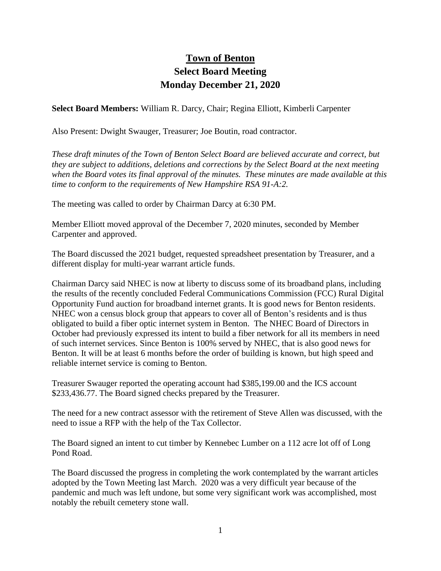## **Town of Benton Select Board Meeting Monday December 21, 2020**

**Select Board Members:** William R. Darcy, Chair; Regina Elliott, Kimberli Carpenter

Also Present: Dwight Swauger, Treasurer; Joe Boutin, road contractor.

*These draft minutes of the Town of Benton Select Board are believed accurate and correct, but they are subject to additions, deletions and corrections by the Select Board at the next meeting when the Board votes its final approval of the minutes. These minutes are made available at this time to conform to the requirements of New Hampshire RSA 91-A:2.*

The meeting was called to order by Chairman Darcy at 6:30 PM.

Member Elliott moved approval of the December 7, 2020 minutes, seconded by Member Carpenter and approved.

The Board discussed the 2021 budget, requested spreadsheet presentation by Treasurer, and a different display for multi-year warrant article funds.

Chairman Darcy said NHEC is now at liberty to discuss some of its broadband plans, including the results of the recently concluded Federal Communications Commission (FCC) Rural Digital Opportunity Fund auction for broadband internet grants. It is good news for Benton residents. NHEC won a census block group that appears to cover all of Benton's residents and is thus obligated to build a fiber optic internet system in Benton. The NHEC Board of Directors in October had previously expressed its intent to build a fiber network for all its members in need of such internet services. Since Benton is 100% served by NHEC, that is also good news for Benton. It will be at least 6 months before the order of building is known, but high speed and reliable internet service is coming to Benton.

Treasurer Swauger reported the operating account had \$385,199.00 and the ICS account \$233,436.77. The Board signed checks prepared by the Treasurer.

The need for a new contract assessor with the retirement of Steve Allen was discussed, with the need to issue a RFP with the help of the Tax Collector.

The Board signed an intent to cut timber by Kennebec Lumber on a 112 acre lot off of Long Pond Road.

The Board discussed the progress in completing the work contemplated by the warrant articles adopted by the Town Meeting last March. 2020 was a very difficult year because of the pandemic and much was left undone, but some very significant work was accomplished, most notably the rebuilt cemetery stone wall.